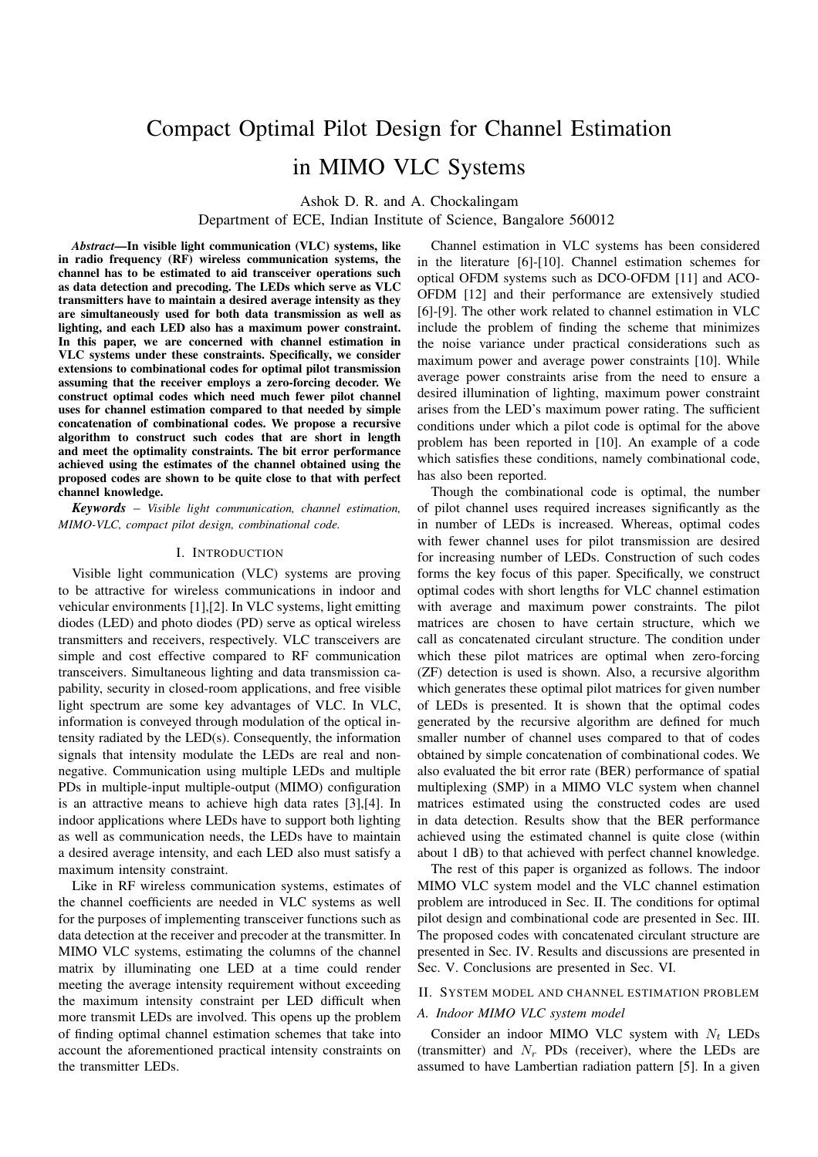# Compact Optimal Pilot Design for Channel Estimation in MIMO VLC Systems

Ashok D. R. and A. Chockalingam

Department of ECE, Indian Institute of Science, Bangalore 560012

*Abstract*—In visible light communication (VLC) systems, like in radio frequency (RF) wireless communication systems, the channel has to be estimated to aid transceiver operations such as data detection and precoding. The LEDs which serve as VLC transmitters have to maintain a desired average intensity as they are simultaneously used for both data transmission as well as lighting, and each LED also has a maximum power constraint. In this paper, we are concerned with channel estimation in VLC systems under these constraints. Specifically, we consider extensions to combinational codes for optimal pilot transmission assuming that the receiver employs a zero-forcing decoder. We construct optimal codes which need much fewer pilot channel uses for channel estimation compared to that needed by simple concatenation of combinational codes. We propose a recursive algorithm to construct such codes that are short in length and meet the optimality constraints. The bit error performance achieved using the estimates of the channel obtained using the proposed codes are shown to be quite close to that with perfect channel knowledge.

*Keywords* – *Visible light communication, channel estimation, MIMO-VLC, compact pilot design, combinational code.*

### I. INTRODUCTION

Visible light communication (VLC) systems are proving to be attractive for wireless communications in indoor and vehicular environments [1],[2]. In VLC systems, light emitting diodes (LED) and photo diodes (PD) serve as optical wireless transmitters and receivers, respectively. VLC transceivers are simple and cost effective compared to RF communication transceivers. Simultaneous lighting and data transmission capability, security in closed-room applications, and free visible light spectrum are some key advantages of VLC. In VLC, information is conveyed through modulation of the optical intensity radiated by the LED(s). Consequently, the information signals that intensity modulate the LEDs are real and nonnegative. Communication using multiple LEDs and multiple PDs in multiple-input multiple-output (MIMO) configuration is an attractive means to achieve high data rates [3],[4]. In indoor applications where LEDs have to support both lighting as well as communication needs, the LEDs have to maintain a desired average intensity, and each LED also must satisfy a maximum intensity constraint.

Like in RF wireless communication systems, estimates of the channel coefficients are needed in VLC systems as well for the purposes of implementing transceiver functions such as data detection at the receiver and precoder at the transmitter. In MIMO VLC systems, estimating the columns of the channel matrix by illuminating one LED at a time could render meeting the average intensity requirement without exceeding the maximum intensity constraint per LED difficult when more transmit LEDs are involved. This opens up the problem of finding optimal channel estimation schemes that take into account the aforementioned practical intensity constraints on the transmitter LEDs.

Channel estimation in VLC systems has been considered in the literature [6]-[10]. Channel estimation schemes for optical OFDM systems such as DCO-OFDM [11] and ACO-OFDM [12] and their performance are extensively studied [6]-[9]. The other work related to channel estimation in VLC include the problem of finding the scheme that minimizes the noise variance under practical considerations such as maximum power and average power constraints [10]. While average power constraints arise from the need to ensure a desired illumination of lighting, maximum power constraint arises from the LED's maximum power rating. The sufficient conditions under which a pilot code is optimal for the above problem has been reported in [10]. An example of a code which satisfies these conditions, namely combinational code, has also been reported.

Though the combinational code is optimal, the number of pilot channel uses required increases significantly as the in number of LEDs is increased. Whereas, optimal codes with fewer channel uses for pilot transmission are desired for increasing number of LEDs. Construction of such codes forms the key focus of this paper. Specifically, we construct optimal codes with short lengths for VLC channel estimation with average and maximum power constraints. The pilot matrices are chosen to have certain structure, which we call as concatenated circulant structure. The condition under which these pilot matrices are optimal when zero-forcing (ZF) detection is used is shown. Also, a recursive algorithm which generates these optimal pilot matrices for given number of LEDs is presented. It is shown that the optimal codes generated by the recursive algorithm are defined for much smaller number of channel uses compared to that of codes obtained by simple concatenation of combinational codes. We also evaluated the bit error rate (BER) performance of spatial multiplexing (SMP) in a MIMO VLC system when channel matrices estimated using the constructed codes are used in data detection. Results show that the BER performance achieved using the estimated channel is quite close (within about 1 dB) to that achieved with perfect channel knowledge.

The rest of this paper is organized as follows. The indoor MIMO VLC system model and the VLC channel estimation problem are introduced in Sec. II. The conditions for optimal pilot design and combinational code are presented in Sec. III. The proposed codes with concatenated circulant structure are presented in Sec. IV. Results and discussions are presented in Sec. V. Conclusions are presented in Sec. VI.

## II. SYSTEM MODEL AND CHANNEL ESTIMATION PROBLEM

## *A. Indoor MIMO VLC system model*

Consider an indoor MIMO VLC system with  $N_t$  LEDs (transmitter) and  $N_r$  PDs (receiver), where the LEDs are assumed to have Lambertian radiation pattern [5]. In a given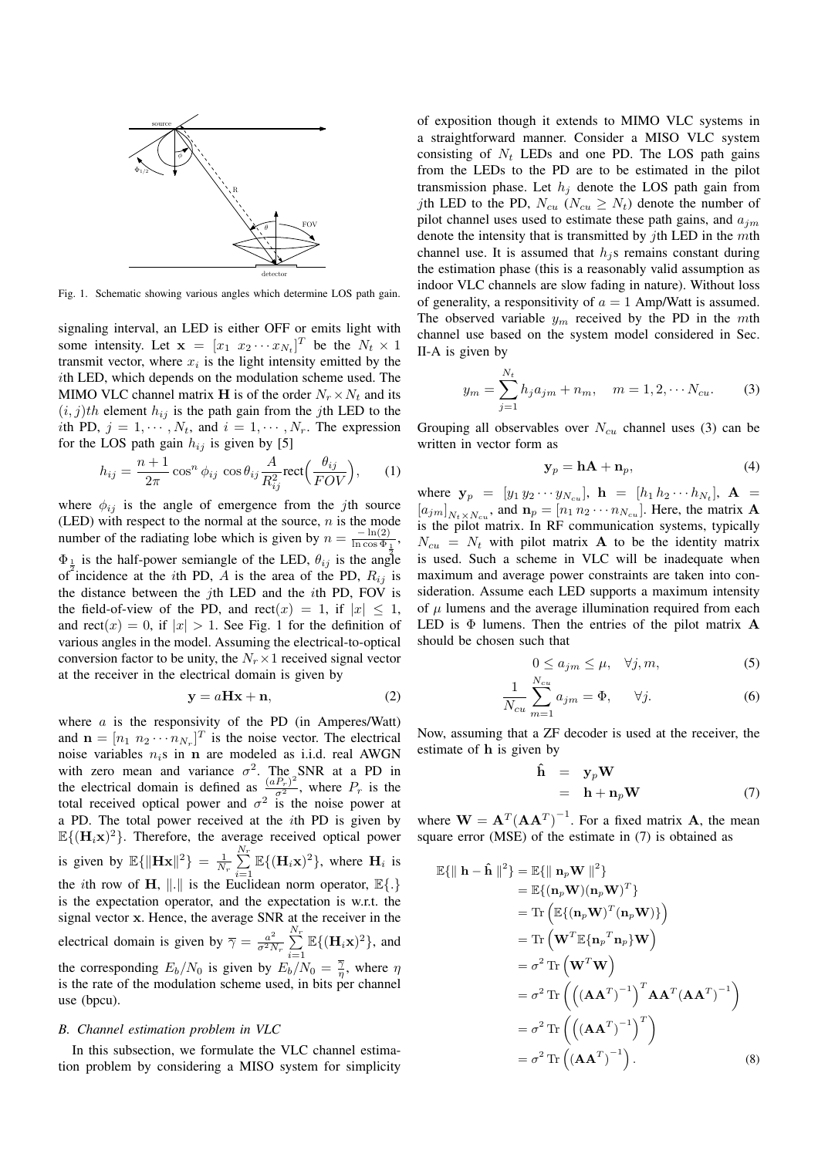

Fig. 1. Schematic showing various angles which determine LOS path gain.

signaling interval, an LED is either OFF or emits light with some intensity. Let  $\mathbf{x} = [x_1 \ x_2 \cdots x_{N_t}]^T$  be the  $N_t \times 1$ transmit vector, where  $x_i$  is the light intensity emitted by the ith LED, which depends on the modulation scheme used. The MIMO VLC channel matrix **H** is of the order  $N_r \times N_t$  and its  $(i, j)$ th element  $h_{ij}$  is the path gain from the jth LED to the ith PD,  $j = 1, \dots, N_t$ , and  $i = 1, \dots, N_r$ . The expression for the LOS path gain  $h_{ij}$  is given by [5]

$$
h_{ij} = \frac{n+1}{2\pi} \cos^n \phi_{ij} \cos \theta_{ij} \frac{A}{R_{ij}^2} \text{rect}\Big(\frac{\theta_{ij}}{FOV}\Big), \qquad (1)
$$

where  $\phi_{ij}$  is the angle of emergence from the jth source (LED) with respect to the normal at the source,  $n$  is the mode number of the radiating lobe which is given by  $n = \frac{-\ln(2)}{\ln \cos \Phi}$  $\frac{-\ln(2)}{\ln \cos \Phi_1}$ ,  $\Phi_{\frac{1}{2}}$  is the half-power semiangle of the LED,  $\theta_{ij}$  is the angle of incidence at the *i*th PD, A is the area of the PD,  $R_{ij}$  is the distance between the jth LED and the  $i$ th PD, FOV is the field-of-view of the PD, and  $rect(x) = 1$ , if  $|x| \le 1$ , and rect(x) = 0, if  $|x| > 1$ . See Fig. 1 for the definition of various angles in the model. Assuming the electrical-to-optical conversion factor to be unity, the  $N_r \times 1$  received signal vector at the receiver in the electrical domain is given by

$$
y = aHx + n,\t\t(2)
$$

where  $a$  is the responsivity of the PD (in Amperes/Watt) and  $\mathbf{n} = [n_1 \ n_2 \cdots n_{N_r}]^T$  is the noise vector. The electrical noise variables  $n_i$ s in **n** are modeled as i.i.d. real AWGN with zero mean and variance  $\sigma^2$ . The SNR at a PD in the electrical domain is defined as  $\frac{(aP_r)^2}{\sigma^2}$ , where  $P_r$  is the total received optical power and  $\sigma^2$  is the noise power at a PD. The total power received at the ith PD is given by  $\mathbb{E}\{(\mathbf{H}_i\mathbf{x})^2\}$ . Therefore, the average received optical power is given by  $\mathbb{E}\{\|\mathbf{Hx}\|^2\} = \frac{1}{N_r} \sum_{n=1}^{N_r}$  $\sum_{i=1}^{n} \mathbb{E}\{(\mathbf{H}_i \mathbf{x})^2\}$ , where  $\mathbf{H}_i$  is the *i*th row of **H**, ||.|| is the Euclidean norm operator,  $\mathbb{E}\{\cdot\}$ is the expectation operator, and the expectation is w.r.t. the signal vector x. Hence, the average SNR at the receiver in the electrical domain is given by  $\overline{\gamma} = \frac{a^2}{\sigma^2 \overline{\gamma}}$  $\frac{a^2}{\sigma^2 N_r} \sum_{r=1}^{N_r}$  $\sum_{i=1}^{N} \mathbb{E}\{(\mathbf{H}_i \mathbf{x})^2\}$ , and the corresponding  $E_b/N_0$  is given by  $E_b/N_0 = \frac{\overline{\gamma}}{\eta}$ , where  $\eta$ is the rate of the modulation scheme used, in bits per channel use (bpcu).

## *B. Channel estimation problem in VLC*

In this subsection, we formulate the VLC channel estimation problem by considering a MISO system for simplicity of exposition though it extends to MIMO VLC systems in a straightforward manner. Consider a MISO VLC system consisting of  $N_t$  LEDs and one PD. The LOS path gains from the LEDs to the PD are to be estimated in the pilot transmission phase. Let  $h_j$  denote the LOS path gain from jth LED to the PD,  $N_{cu}$  ( $N_{cu} \geq N_t$ ) denote the number of pilot channel uses used to estimate these path gains, and  $a_{jm}$ denote the intensity that is transmitted by  $j$ th LED in the  $m$ th channel use. It is assumed that  $h_i$ s remains constant during the estimation phase (this is a reasonably valid assumption as indoor VLC channels are slow fading in nature). Without loss of generality, a responsitivity of  $a = 1$  Amp/Watt is assumed. The observed variable  $y_m$  received by the PD in the mth channel use based on the system model considered in Sec. II-A is given by

$$
y_m = \sum_{j=1}^{N_t} h_j a_{jm} + n_m, \quad m = 1, 2, \cdots N_{cu}.
$$
 (3)

Grouping all observables over  $N_{cu}$  channel uses (3) can be written in vector form as

$$
\mathbf{y}_p = \mathbf{h}\mathbf{A} + \mathbf{n}_p,\tag{4}
$$

where  $y_p = [y_1 y_2 \cdots y_{N_{cu}}], h = [h_1 h_2 \cdots h_{N_t}], A =$  $[a_{jm}]_{N_t \times N_{cu}}$ , and  $\mathbf{n}_p = [n_1 n_2 \cdots n_{N_{cu}}]$ . Here, the matrix **A** is the pilot matrix. In RF communication systems, typically  $N_{cu} = N_t$  with pilot matrix **A** to be the identity matrix is used. Such a scheme in VLC will be inadequate when maximum and average power constraints are taken into consideration. Assume each LED supports a maximum intensity of  $\mu$  lumens and the average illumination required from each LED is  $\Phi$  lumens. Then the entries of the pilot matrix  $\bf{A}$ should be chosen such that

$$
0 \le a_{jm} \le \mu, \quad \forall j, m,
$$
 (5)

$$
\frac{1}{N_{cu}}\sum_{m=1}^{N_{cu}}a_{jm} = \Phi, \qquad \forall j.
$$
 (6)

Now, assuming that a ZF decoder is used at the receiver, the estimate of h is given by

$$
\hat{\mathbf{h}} = \mathbf{y}_p \mathbf{W} \n= \mathbf{h} + \mathbf{n}_p \mathbf{W}
$$
\n(7)

where  $\mathbf{W} = \mathbf{A}^T (\mathbf{A} \mathbf{A}^T)^{-1}$ . For a fixed matrix **A**, the mean square error (MSE) of the estimate in (7) is obtained as

$$
\mathbb{E}\{\|\mathbf{h} - \hat{\mathbf{h}}\|^2\} = \mathbb{E}\{\|\mathbf{n}_p \mathbf{W}\|^2\}
$$
  
\n
$$
= \mathbb{E}\{(\mathbf{n}_p \mathbf{W})(\mathbf{n}_p \mathbf{W})^T\}
$$
  
\n
$$
= \text{Tr}\left(\mathbb{E}\{(\mathbf{n}_p \mathbf{W})^T (\mathbf{n}_p \mathbf{W})\}\right)
$$
  
\n
$$
= \text{Tr}\left(\mathbf{W}^T \mathbb{E}\{\mathbf{n}_p^T \mathbf{n}_p\} \mathbf{W}\right)
$$
  
\n
$$
= \sigma^2 \text{Tr}\left(\mathbf{W}^T \mathbf{W}\right)
$$
  
\n
$$
= \sigma^2 \text{Tr}\left(\left((\mathbf{A}\mathbf{A}^T)^{-1}\right)^T \mathbf{A} \mathbf{A}^T (\mathbf{A} \mathbf{A}^T)^{-1}\right)
$$
  
\n
$$
= \sigma^2 \text{Tr}\left(\left((\mathbf{A}\mathbf{A}^T)^{-1}\right)^T\right)
$$
  
\n
$$
= \sigma^2 \text{Tr}\left((\mathbf{A}\mathbf{A}^T)^{-1}\right).
$$
 (8)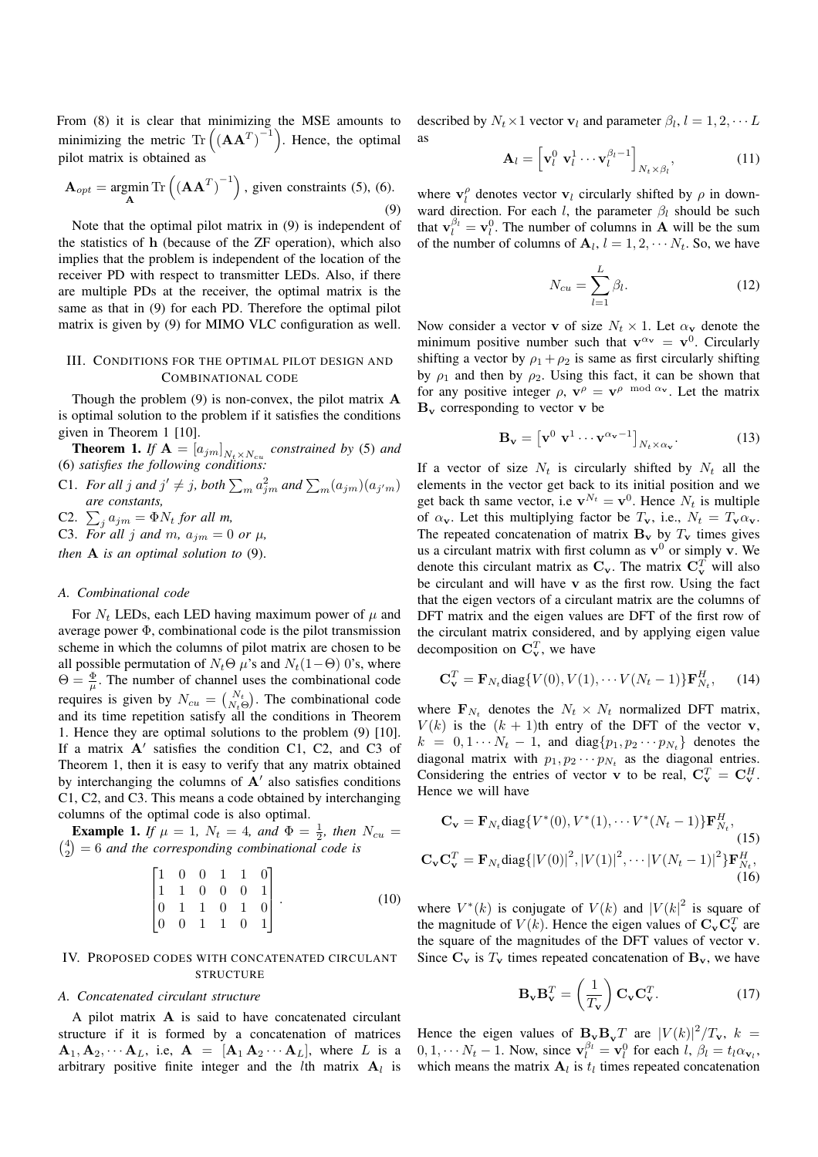From (8) it is clear that minimizing the MSE amounts to minimizing the metric Tr  $((AA^T)^{-1})$  . Hence, the optimal pilot matrix is obtained as

$$
\mathbf{A}_{opt} = \underset{\mathbf{A}}{\text{argmin}} \operatorname{Tr}\left(\left(\mathbf{A}\mathbf{A}^T\right)^{-1}\right), \text{ given constraints (5), (6).}
$$

Note that the optimal pilot matrix in (9) is independent of the statistics of h (because of the ZF operation), which also implies that the problem is independent of the location of the receiver PD with respect to transmitter LEDs. Also, if there are multiple PDs at the receiver, the optimal matrix is the same as that in (9) for each PD. Therefore the optimal pilot matrix is given by (9) for MIMO VLC configuration as well.

## III. CONDITIONS FOR THE OPTIMAL PILOT DESIGN AND COMBINATIONAL CODE

Though the problem  $(9)$  is non-convex, the pilot matrix  $\bf{A}$ is optimal solution to the problem if it satisfies the conditions given in Theorem 1 [10].

**Theorem 1.** If  $A = [a_{jm}]_{N_t \times N_{cu}}$  constrained by (5) and (6) *satisfies the following conditions:*

C1. For all j and  $j' \neq j$ , both  $\sum_m a_{jm}^2$  and  $\sum_m (a_{jm})(a_{j'm})$ *are constants,*

C2.  $\sum_j a_{jm} = \Phi N_t$  for all m,

C3. For all j and m,  $a_{jm} = 0$  or  $\mu$ ,

*then* A *is an optimal solution to* (9).

### *A. Combinational code*

For  $N_t$  LEDs, each LED having maximum power of  $\mu$  and average power Φ, combinational code is the pilot transmission scheme in which the columns of pilot matrix are chosen to be all possible permutation of  $N_t\Theta$   $\mu$ 's and  $N_t(1-\Theta)$  0's, where  $\Theta = \frac{\Phi}{\mu}$ . The number of channel uses the combinational code requires is given by  $N_{cu} = \binom{N_t}{N_t \Theta}$ . The combinational code and its time repetition satisfy all the conditions in Theorem 1. Hence they are optimal solutions to the problem (9) [10]. If a matrix  $A'$  satisfies the condition C1, C2, and C3 of Theorem 1, then it is easy to verify that any matrix obtained by interchanging the columns of  $A'$  also satisfies conditions C1, C2, and C3. This means a code obtained by interchanging columns of the optimal code is also optimal.

**Example 1.** *If*  $\mu = 1$ ,  $N_t = 4$ , and  $\Phi = \frac{1}{2}$ , then  $N_{cu} = \binom{4}{3} = 6$  and the corresponding combinational code is  $\binom{4}{2}$  = 6 *and the corresponding combinational code is* 

$$
\begin{bmatrix} 1 & 0 & 0 & 1 & 1 & 0 \\ 1 & 1 & 0 & 0 & 0 & 1 \\ 0 & 1 & 1 & 0 & 1 & 0 \\ 0 & 0 & 1 & 1 & 0 & 1 \end{bmatrix}.
$$
 (10)

## IV. PROPOSED CODES WITH CONCATENATED CIRCULANT **STRUCTURE**

### *A. Concatenated circulant structure*

A pilot matrix A is said to have concatenated circulant structure if it is formed by a concatenation of matrices  $\mathbf{A}_1, \mathbf{A}_2, \cdots, \mathbf{A}_L$ , i.e,  $\mathbf{A} = [\mathbf{A}_1 \mathbf{A}_2 \cdots \mathbf{A}_L]$ , where L is a arbitrary positive finite integer and the *l*th matrix  $A_l$  is

described by  $N_t \times 1$  vector  $\mathbf{v}_l$  and parameter  $\beta_l$ ,  $l = 1, 2, \cdots L$ as

$$
\mathbf{A}_{l} = \left[ \mathbf{v}_{l}^{0} \ \mathbf{v}_{l}^{1} \cdots \mathbf{v}_{l}^{\beta_{l}-1} \right]_{N_{t} \times \beta_{l}}, \tag{11}
$$

where  $\mathbf{v}_l^{\rho}$  denotes vector  $\mathbf{v}_l$  circularly shifted by  $\rho$  in downward direction. For each l, the parameter  $\beta_l$  should be such that  $\mathbf{v}_l^{\beta_l} = \mathbf{v}_l^0$ . The number of columns in **A** will be the sum of the number of columns of  $A_l$ ,  $l = 1, 2, \cdots N_t$ . So, we have

$$
N_{cu} = \sum_{l=1}^{L} \beta_l.
$$
 (12)

Now consider a vector **v** of size  $N_t \times 1$ . Let  $\alpha_v$  denote the minimum positive number such that  $v^{\alpha} = v^0$ . Circularly shifting a vector by  $\rho_1 + \rho_2$  is same as first circularly shifting by  $\rho_1$  and then by  $\rho_2$ . Using this fact, it can be shown that for any positive integer  $\rho$ ,  $\mathbf{v}^{\rho} = \mathbf{v}^{\rho \mod \alpha_v}$ . Let the matrix  $B_v$  corresponding to vector v be

$$
\mathbf{B}_{\mathbf{v}} = \left[ \mathbf{v}^0 \; \mathbf{v}^1 \cdots \mathbf{v}^{\alpha_{\mathbf{v}}-1} \right]_{N_t \times \alpha_{\mathbf{v}}}.
$$
 (13)

If a vector of size  $N_t$  is circularly shifted by  $N_t$  all the elements in the vector get back to its initial position and we get back th same vector, i.e  $\mathbf{v}^{N_t} = \mathbf{v}^0$ . Hence  $N_t$  is multiple of  $\alpha_{\mathbf{v}}$ . Let this multiplying factor be  $T_{\mathbf{v}}$ , i.e.,  $N_t = T_{\mathbf{v}} \alpha_{\mathbf{v}}$ . The repeated concatenation of matrix  $B_v$  by  $T_v$  times gives us a circulant matrix with first column as  $v^0$  or simply v. We denote this circulant matrix as  $C_v$ . The matrix  $C_v^T$  will also be circulant and will have v as the first row. Using the fact that the eigen vectors of a circulant matrix are the columns of DFT matrix and the eigen values are DFT of the first row of the circulant matrix considered, and by applying eigen value decomposition on  $\mathbf{C}_{\mathbf{v}}^T$ , we have

$$
\mathbf{C}_{\mathbf{v}}^T = \mathbf{F}_{N_t} \text{diag}\{V(0), V(1), \cdots V(N_t - 1)\} \mathbf{F}_{N_t}^H, \qquad (14)
$$

where  $\mathbf{F}_{N_t}$  denotes the  $N_t \times N_t$  normalized DFT matrix,  $V(k)$  is the  $(k + 1)$ th entry of the DFT of the vector v,  $k = 0, 1 \cdots N_t - 1$ , and diag $\{p_1, p_2 \cdots p_{N_t}\}\$  denotes the diagonal matrix with  $p_1, p_2 \cdots p_{N_t}$  as the diagonal entries. Considering the entries of vector **v** to be real,  $C_v^T = C_v^H$ . Hence we will have

$$
\mathbf{C}_{\mathbf{v}} = \mathbf{F}_{N_t} \text{diag}\{V^*(0), V^*(1), \cdots V^*(N_t - 1)\} \mathbf{F}_{N_t}^H,
$$
\n(15)\n
$$
\mathbf{C}_{\mathbf{v}} \mathbf{C}_{\mathbf{v}}^T = \mathbf{F}_{N_t} \text{diag}\{|V(0)|^2, |V(1)|^2, \cdots |V(N_t - 1)|^2\} \mathbf{F}_{N_t}^H,
$$
\n(16)

where  $V^*(k)$  is conjugate of  $V(k)$  and  $|V(k)|^2$  is square of the magnitude of  $V(k)$ . Hence the eigen values of  $C_v C_v^T$  are the square of the magnitudes of the DFT values of vector v. Since  $C_v$  is  $T_v$  times repeated concatenation of  $B_v$ , we have

$$
\mathbf{B}_{\mathbf{v}} \mathbf{B}_{\mathbf{v}}^T = \left(\frac{1}{T_{\mathbf{v}}}\right) \mathbf{C}_{\mathbf{v}} \mathbf{C}_{\mathbf{v}}^T.
$$
 (17)

Hence the eigen values of  $B_vB_vT$  are  $|V(k)|^2/T_v$ ,  $k =$  $0, 1, \cdots N_t - 1$ . Now, since  $\mathbf{v}_l^{\beta_l} = \mathbf{v}_l^0$  for each  $l, \beta_l = t_l \alpha_{\mathbf{v}_l}$ , which means the matrix  $A_l$  is  $t_l$  times repeated concatenation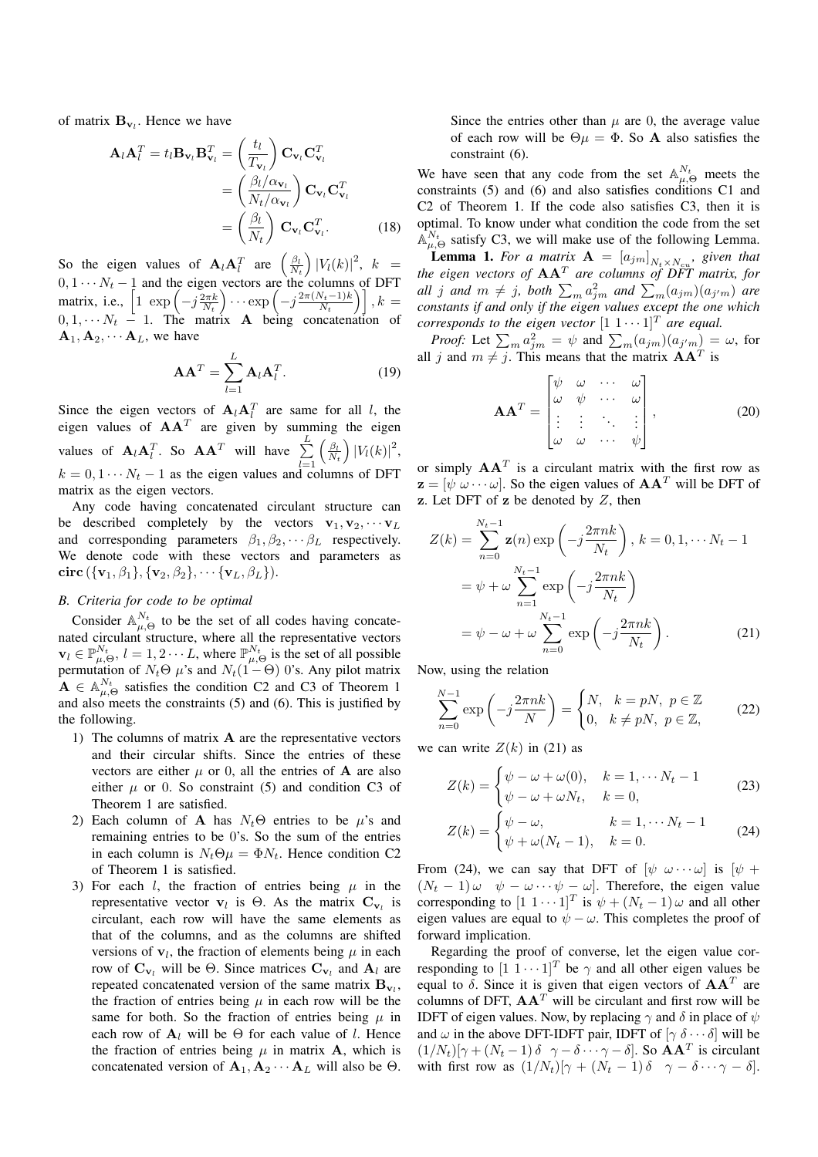of matrix  $B_{v_l}$ . Hence we have

$$
\mathbf{A}_{l}\mathbf{A}_{l}^{T} = t_{l}\mathbf{B}_{\mathbf{v}_{l}}\mathbf{B}_{\mathbf{v}_{l}}^{T} = \left(\frac{t_{l}}{T_{\mathbf{v}_{l}}}\right)\mathbf{C}_{\mathbf{v}_{l}}\mathbf{C}_{\mathbf{v}_{l}}^{T}
$$

$$
= \left(\frac{\beta_{l}/\alpha_{\mathbf{v}_{l}}}{N_{t}/\alpha_{\mathbf{v}_{l}}}\right)\mathbf{C}_{\mathbf{v}_{l}}\mathbf{C}_{\mathbf{v}_{l}}^{T}
$$

$$
= \left(\frac{\beta_{l}}{N_{t}}\right)\mathbf{C}_{\mathbf{v}_{l}}\mathbf{C}_{\mathbf{v}_{l}}^{T}.
$$
(18)

So the eigen values of  $\mathbf{A}_l \mathbf{A}_l^T$  are  $\left(\frac{\beta_l}{N_t}\right)$  $\int |V_l(k)|^2, \; k =$  $0, 1 \cdots N_t - 1$  and the eigen vectors are the columns of DFT matrix, i.e.,  $\left[1 \exp \left(-j \frac{2 \pi k}{N_t}\right)\right]$  $\sum_{v \text{exp}} \left(-j \frac{2\pi (N_t-1)k}{N_t}\right)$  $\left[\frac{N_t-1)k}{N_t}\right], k =$  $0, 1, \cdots N_t - 1$ . The matrix **A** being concatenation of  $A_1, A_2, \cdots A_L$ , we have

$$
\mathbf{A}\mathbf{A}^T = \sum_{l=1}^L \mathbf{A}_l \mathbf{A}_l^T.
$$
 (19)

Since the eigen vectors of  $\mathbf{A}_l \mathbf{A}_l^T$  are same for all l, the eigen values of  $AA<sup>T</sup>$  are given by summing the eigen values of  $\mathbf{A}_l \mathbf{A}_l^T$ . So  $\mathbf{A} \mathbf{A}^T$  will have  $\sum_{i=1}^L A_i$  $_{l=1}$  $\left(\frac{\beta_l}{N_t}\right)$  $\big)|V_l(k)|^2,$  $k = 0, 1 \cdots N_t - 1$  as the eigen values and columns of DFT matrix as the eigen vectors.

Any code having concatenated circulant structure can be described completely by the vectors  $\mathbf{v}_1, \mathbf{v}_2, \cdots, \mathbf{v}_L$ and corresponding parameters  $\beta_1, \beta_2, \cdots, \beta_L$  respectively. We denote code with these vectors and parameters as circ  $({\{v_1, \beta_1\}, \{v_2, \beta_2\}, \cdots \{v_L, \beta_L\})}.$ 

## *B. Criteria for code to be optimal*

Consider  $\mathbb{A}_{\mu,\Theta}^{N_t}$  to be the set of all codes having concatenated circulant structure, where all the representative vectors  $\mathbf{v}_l \in \mathbb{P}_{\mu,\Theta}^{N_t}, l = 1, 2 \cdots L$ , where  $\mathbb{P}_{\mu,\Theta}^{N_t}$  is the set of all possible permutation of  $N_t\Theta$   $\mu$ 's and  $N_t(1-\Theta)$  0's. Any pilot matrix  $\mathbf{A} \in \mathbb{A}_{\mu,\Theta}^{N_t}$  satisfies the condition C2 and C3 of Theorem 1 and also meets the constraints (5) and (6). This is justified by the following.

- 1) The columns of matrix  $A$  are the representative vectors and their circular shifts. Since the entries of these vectors are either  $\mu$  or 0, all the entries of **A** are also either  $\mu$  or 0. So constraint (5) and condition C3 of Theorem 1 are satisfied.
- 2) Each column of A has  $N_t\Theta$  entries to be  $\mu$ 's and remaining entries to be 0's. So the sum of the entries in each column is  $N_t \Theta \mu = \Phi N_t$ . Hence condition C2 of Theorem 1 is satisfied.
- 3) For each l, the fraction of entries being  $\mu$  in the representative vector  $v_l$  is  $\Theta$ . As the matrix  $C_{v_l}$  is circulant, each row will have the same elements as that of the columns, and as the columns are shifted versions of  $v_l$ , the fraction of elements being  $\mu$  in each row of  $\mathbf{C}_{\mathbf{v}_l}$  will be  $\Theta$ . Since matrices  $\mathbf{C}_{\mathbf{v}_l}$  and  $\mathbf{A}_l$  are repeated concatenated version of the same matrix  $B_{v_l}$ , the fraction of entries being  $\mu$  in each row will be the same for both. So the fraction of entries being  $\mu$  in each row of  $A_l$  will be  $\Theta$  for each value of l. Hence the fraction of entries being  $\mu$  in matrix **A**, which is concatenated version of  $\mathbf{A}_1, \mathbf{A}_2 \cdots \mathbf{A}_L$  will also be  $\Theta$ .

Since the entries other than  $\mu$  are 0, the average value of each row will be  $\Theta \mu = \Phi$ . So **A** also satisfies the constraint (6).

We have seen that any code from the set  $\mathbb{A}_{\mu,\Theta}^{N_t}$  meets the constraints (5) and (6) and also satisfies conditions C1 and C2 of Theorem 1. If the code also satisfies C3, then it is optimal. To know under what condition the code from the set  $\mathbb{A}_{\mu,\Theta}^{N_t}$  satisfy C3, we will make use of the following Lemma.

**Lemma 1.** For a matrix  $\mathbf{A} = [a_{jm}]_{N_t \times N_{cu}}$ , given that *the eigen vectors of* AA<sup>T</sup> *are columns of DFT matrix, for all j and*  $m \neq j$ *, both*  $\sum_{m} a_{jm}^2$  *and*  $\sum_{m} (a_{jm})(a_{j'm})$  *are constants if and only if the eigen values except the one which corresponds to the eigen vector*  $[1 \ 1 \cdots 1]^T$  *are equal.* 

*Proof:* Let  $\sum_{m} a_{jm}^2 = \psi$  and  $\sum_{m} (a_{jm})(a_{j'm}) = \omega$ , for all j and  $m \neq j$ . This means that the matrix  $AA<sup>T</sup>$  is

$$
\mathbf{A}\mathbf{A}^T = \begin{bmatrix} \psi & \omega & \cdots & \omega \\ \omega & \psi & \cdots & \omega \\ \vdots & \vdots & \ddots & \vdots \\ \omega & \omega & \cdots & \psi \end{bmatrix}, \qquad (20)
$$

or simply  $AA<sup>T</sup>$  is a circulant matrix with the first row as  $z = [\psi \ \omega \cdots \omega]$ . So the eigen values of  $AA^T$  will be DFT of  $\mathbf{z}$ . Let DFT of  $\mathbf{z}$  be denoted by  $Z$ , then

$$
Z(k) = \sum_{n=0}^{N_t - 1} \mathbf{z}(n) \exp\left(-j\frac{2\pi nk}{N_t}\right), k = 0, 1, \dots N_t - 1
$$

$$
= \psi + \omega \sum_{n=1}^{N_t - 1} \exp\left(-j\frac{2\pi nk}{N_t}\right)
$$

$$
= \psi - \omega + \omega \sum_{n=0}^{N_t - 1} \exp\left(-j\frac{2\pi nk}{N_t}\right).
$$
(21)

Now, using the relation

$$
\sum_{n=0}^{N-1} \exp\left(-j\frac{2\pi nk}{N}\right) = \begin{cases} N, & k=pN, \ p \in \mathbb{Z} \\ 0, & k \neq pN, \ p \in \mathbb{Z}, \end{cases} \tag{22}
$$

we can write  $Z(k)$  in (21) as

$$
Z(k) = \begin{cases} \psi - \omega + \omega(0), & k = 1, \cdots N_t - 1 \\ \psi - \omega + \omega N_t, & k = 0, \end{cases}
$$
 (23)

$$
Z(k) = \begin{cases} \psi - \omega, & k = 1, \cdots N_t - 1 \\ \psi + \omega(N_t - 1), & k = 0. \end{cases}
$$
 (24)

From (24), we can say that DFT of  $[\psi \ \omega \cdots \omega]$  is  $[\psi +$  $(N_t - 1) \omega \quad \psi - \omega \cdots \psi - \omega$ . Therefore, the eigen value corresponding to  $[1 \ 1 \cdots 1]^T$  is  $\psi + (N_t - 1) \omega$  and all other eigen values are equal to  $\psi - \omega$ . This completes the proof of forward implication.

Regarding the proof of converse, let the eigen value corresponding to  $[1 \ 1 \cdots 1]^T$  be  $\gamma$  and all other eigen values be equal to  $\delta$ . Since it is given that eigen vectors of  $AA<sup>T</sup>$  are columns of DFT,  $\mathbf{A} \mathbf{A}^T$  will be circulant and first row will be IDFT of eigen values. Now, by replacing  $\gamma$  and  $\delta$  in place of  $\psi$ and  $\omega$  in the above DFT-IDFT pair, IDFT of  $[\gamma \delta \cdots \delta]$  will be  $(1/N_t)[\gamma + (N_t - 1) \delta \ \gamma - \delta \cdots \gamma - \delta]$ . So  $AA^T$  is circulant with first row as  $(1/N_t)[\gamma + (N_t - 1)\delta \quad \gamma - \delta \cdots \gamma - \delta].$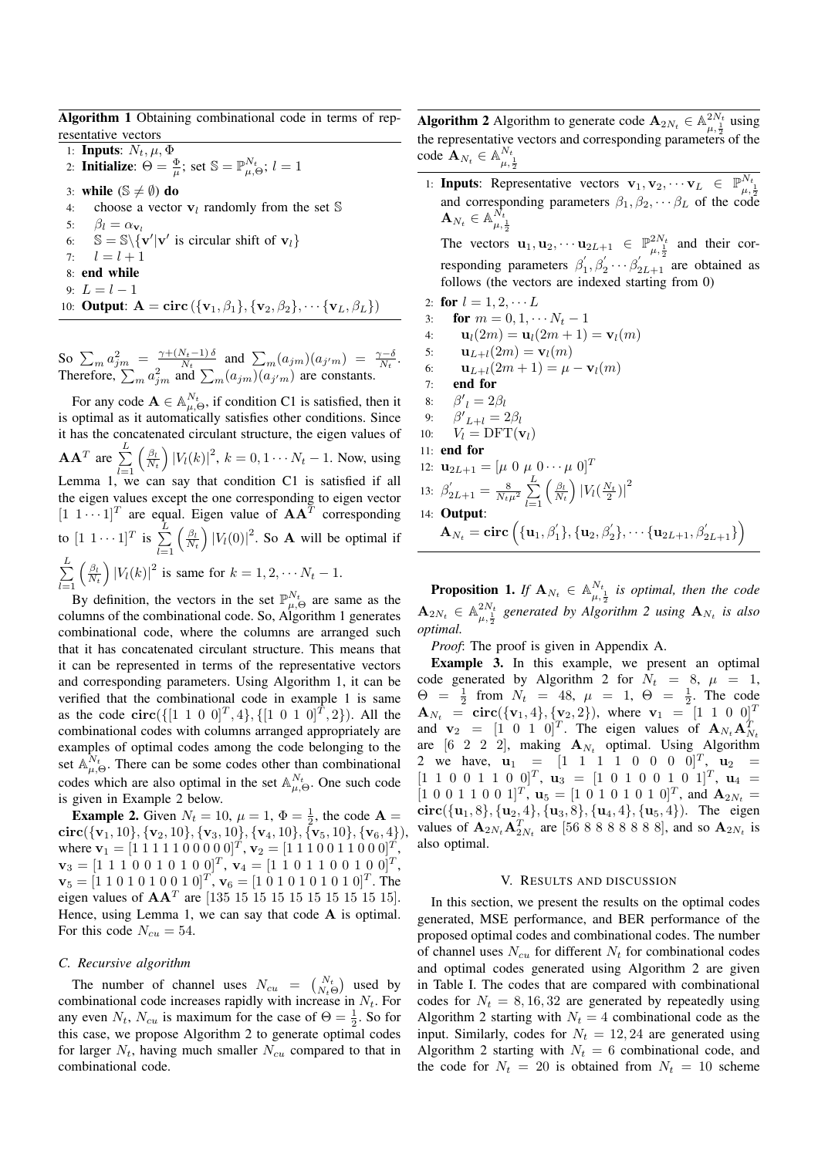Algorithm 1 Obtaining combinational code in terms of representative vectors

1: **Inputs**:  $N_t$ ,  $\mu$ ,  $\Phi$ 2: Initialize:  $\Theta = \frac{\Phi}{\mu}$ ; set  $\mathbb{S} = \mathbb{P}_{\mu,\Theta}^{N_t}$ ;  $l = 1$ 3: while  $(S \neq \emptyset)$  do 4: choose a vector  $\mathbf{v}_l$  randomly from the set  $\mathbb{S}$ 5:  $\beta_l = \alpha_{\mathbf{v}_l}$ 6:  $\mathbb{S} = \mathbb{S} \setminus {\mathbf{v}' | \mathbf{v}' \text{ is circular shift of } \mathbf{v}_l}$ 7:  $l = l + 1$ 8: end while 9:  $L = l - 1$ 10: **Output:**  $\mathbf{A} = \text{circ}(\{\mathbf{v}_1, \beta_1\}, \{\mathbf{v}_2, \beta_2\}, \cdots \{\mathbf{v}_L, \beta_L\})$ 

So  $\sum_{m} a_{j m}^2 = \frac{\gamma + (N_t - 1) \delta}{N_t}$  $\frac{N_t-1}{N_t}$  and  $\sum_m (a_{jm})(a_{j'm}) = \frac{\gamma-\delta}{N_t}$ . Therefore,  $\sum_{m} a_{jm}^2$  and  $\sum_{m} (a_{jm}) (a_{j'm})$  are constants.

For any code  $\mathbf{A} \in \mathbb{A}_{\mu,\Theta}^{N_t}$ , if condition C1 is satisfied, then it is optimal as it automatically satisfies other conditions. Since it has the concatenated circulant structure, the eigen values of  $AA^T$  are  $\sum^L$  $_{l=1}$  $\left(\frac{\beta_l}{N_t}\right)$  $\int |V_l(k)|^2$ ,  $k = 0, 1 \cdots N_t - 1$ . Now, using Lemma 1, we can say that condition C1 is satisfied if all the eigen values except the one corresponding to eigen vector  $[1 \ 1 \cdots 1]^T$  are equal. Eigen value of  $AA^T$  corresponding to  $[1 \; 1 \cdots 1]^T$  is  $\sum^L$  $_{l=1}$  $\left(\frac{\beta_l}{N_t}\right)$  $\int |V_l(0)|^2$ . So **A** will be optimal if  $\sum_{i=1}^{\infty}$  $_{l=1}$  $\left(\frac{\beta_l}{N_t}\right)$  $\int |V_1(k)|^2$  is same for  $k = 1, 2, \cdots N_t - 1$ .

By definition, the vectors in the set  $\mathbb{P}_{\mu,\Theta}^{N_t}$  are same as the columns of the combinational code. So, Algorithm 1 generates combinational code, where the columns are arranged such that it has concatenated circulant structure. This means that it can be represented in terms of the representative vectors and corresponding parameters. Using Algorithm 1, it can be verified that the combinational code in example 1 is same as the code  $\text{circ}(\{[1\ 1\ 0\ 0]^T,4\}, \{[1\ 0\ 1\ 0]^T,2\})$ . All the combinational codes with columns arranged appropriately are examples of optimal codes among the code belonging to the set  $\mathbb{A}_{\mu,\Theta}^{N_t}$ . There can be some codes other than combinational codes which are also optimal in the set  $\mathbb{A}_{\mu,\Theta}^{N_t}$ . One such code is given in Example 2 below.

**Example 2.** Given  $N_t = 10$ ,  $\mu = 1$ ,  $\Phi = \frac{1}{2}$ , the code **A** =  $\text{circ}(\{\mathbf{v}_1, 10\}, \{\mathbf{v}_2, 10\}, \{\mathbf{v}_3, 10\}, \{\mathbf{v}_4, 10\}, \{\mathbf{v}_5, 10\}, \{\mathbf{v}_6, 4\}),$ where  $\mathbf{v}_1 = [1 \ 1 \ 1 \ 1 \ 1 \ 0 \ 0 \ 0 \ 0 \ 0]^T$ ,  $\mathbf{v}_2 = [1 \ 1 \ 1 \ 0 \ 0 \ 1 \ 1 \ 0 \ 0 \ 0]^T$ ,  $\mathbf{v}_3 = [1 \ 1 \ 1 \ 0 \ 0 \ 1 \ 0 \ 1 \ 0 \ 0]^T$ ,  $\mathbf{v}_4 = [1 \ 1 \ 0 \ 1 \ 1 \ 0 \ 0 \ 1 \ 0 \ 0]^T$ ,  $\mathbf{v}_5 = [1 \ 1 \ 0 \ 1 \ 0 \ 1 \ 0 \ 0 \ 1 \ 0]^T$ ,  $\mathbf{v}_6 = [1 \ 0 \ 1 \ 0 \ 1 \ 0 \ 1 \ 0 \ 1 \ 0]^T$ . The eigen values of  $AA<sup>T</sup>$  are [135 15 15 15 15 15 15 15 15 15]. Hence, using Lemma 1, we can say that code A is optimal. For this code  $N_{cu} = 54$ .

#### *C. Recursive algorithm*

The number of channel uses  $N_{cu} = \begin{pmatrix} N_t \\ N_t \Theta \end{pmatrix}$  used by combinational code increases rapidly with increase in  $N_t$ . For any even  $N_t$ ,  $N_{cu}$  is maximum for the case of  $\Theta = \frac{1}{2}$ . So for this case, we propose Algorithm 2 to generate optimal codes for larger  $N_t$ , having much smaller  $N_{cu}$  compared to that in combinational code.

**Algorithm 2** Algorithm to generate code  $\mathbf{A}_{2N_t} \in \mathbb{A}_{\mu, \frac{1}{2}}^{2N_t}$  using the representative vectors and corresponding parameters of the code  $\mathbf{A}_{N_t} \in \mathbb{A}_{\mu, \frac{1}{2}}^{N_t}$ 

1: **Inputs:** Representative vectors  $\mathbf{v}_1, \mathbf{v}_2, \dots, \mathbf{v}_L \in \mathbb{P}_{\mu, \frac{1}{2}}^{N_t}$ and corresponding parameters  $\beta_1, \beta_2, \cdots, \beta_L$  of the code  $\mathbf{A}_{N_t} \in \mathbb{A}_{\mu, \frac{1}{2}}^{N_t}$ 

The vectors  $\mathbf{u}_1, \mathbf{u}_2, \cdots \mathbf{u}_{2L+1} \in \mathbb{P}^{2N_t}_{\mu, \frac{1}{2}}$  and their corresponding parameters  $\beta_1$  $\beta'_1, \beta'_2 \cdots \beta'_{2L+1}$  are obtained as follows (the vectors are indexed starting from 0)

- 2: for  $l = 1, 2, \cdots L$
- 3: **for**  $m = 0, 1, \cdots N_t 1$
- 4:  $\mathbf{u}_l(2m) = \mathbf{u}_l(2m+1) = \mathbf{v}_l(m)$
- 5:  $\mathbf{u}_{L+l}(2m) = \mathbf{v}_l(m)$
- 6:  $\mathbf{u}_{L+l}(2m+1) = \mu \mathbf{v}_l(m)$
- 7: end for
- 8:  $\beta'_{l} = 2\beta_{l}$
- 9:  ${\beta'}_{L+l} = 2\beta_l$ 10:  $V_l = \text{DFT}(\mathbf{v}_l)$
- 11: end for
- 12:  $\mathbf{u}_{2L+1} = [\mu \ 0 \ \mu \ 0 \cdots \mu \ 0]^T$
- 13:  $\beta'_{2L+1} = \frac{8}{N_t\mu^2} \sum_{l=1}^{L}$  $_{l=1}$  $\left(\frac{\beta_l}{N_t}\right)$  $\left|V_l(\frac{N_t}{2})\right|^2$ 14: Output:  $\mathbf{A}_{N_t} = \mathbf{circ} \left( \{\mathbf{u}_1, \beta_1'\}, \{\mathbf{u}_2, \beta_2'\}, \cdots \{\mathbf{u}_{2L+1}, \beta_{2L+1}'\} \right)$

**Proposition 1.** If  $A_{N_t} \in \mathbb{A}_{\mu, \frac{1}{2}}^{N_t}$  is optimal, then the code  $\mathbf{A}_{2N_t} \in \mathbb{A}_{\mu, \frac{1}{2}}^{2N_t}$  generated by Algorithm 2 using  $\mathbf{A}_{N_t}$  is also *optimal.*

*Proof*: The proof is given in Appendix A.

Example 3. In this example, we present an optimal code generated by Algorithm 2 for  $N_t = 8$ ,  $\mu = 1$ ,  $\Theta = \frac{1}{2}$  from  $N_t = 48$ ,  $\mu = 1$ ,  $\Theta = \frac{1}{2}$ . The code  $\mathbf{A}_{N_t} = \text{circ}(\{\mathbf{v}_1, 4\}, \{\mathbf{v}_2, 2\})$ , where  $\mathbf{v}_1 = [1 \ 1 \ 0 \ 0]^T$ and  $\mathbf{v}_2 = \begin{bmatrix} 1 & 0 & 1 & 0 \end{bmatrix}^T$ . The eigen values of  $\mathbf{A}_{N_t} \mathbf{A}_N^T$ and  $V_2 = \begin{bmatrix} 1 & 0 & 1 & 0 \end{bmatrix}$ . The eigen values of  $A_{N_t} A_{N_t}$ <br>are  $[6 \ 2 \ 2 \ 2]$ , making  $A_{N_t}$  optimal. Using Algorithm 2 we have,  $\mathbf{u}_1 = \begin{bmatrix} 1 & 1 & 1 & 0 & 0 & 0 & 0 \end{bmatrix}^T$ ,  $\mathbf{u}_2 =$  $[1\ 1\ 0\ 0\ 1\ 1\ 0\ 0]^T$ ,  $\mathbf{u}_3 = [1\ 0\ 1\ 0\ 0\ 1\ 0\ 1]^T$ ,  $\mathbf{u}_4 =$  $[1\ 0\ 0\ 1\ 1\ 0\ 0\ 1]^T$ ,  $\mathbf{u}_5 = [1\ 0\ 1\ 0\ 1\ 0\ 1\ 0]^T$ , and  $\mathbf{A}_{2N_t} =$  $circ({u<sub>1</sub>,8}, {u<sub>2</sub>, 4}, {u<sub>3</sub>, 8}, {u<sub>4</sub>, 4}, {u<sub>5</sub>, 4}).$  The eigen values of  ${\bf A}_{2N_t} {\bf A}_{2N_t}^T$  are [56 8 8 8 8 8 8], and so  ${\bf A}_{2N_t}$  is also optimal.

#### V. RESULTS AND DISCUSSION

In this section, we present the results on the optimal codes generated, MSE performance, and BER performance of the proposed optimal codes and combinational codes. The number of channel uses  $N_{cu}$  for different  $N_t$  for combinational codes and optimal codes generated using Algorithm 2 are given in Table I. The codes that are compared with combinational codes for  $N_t = 8, 16, 32$  are generated by repeatedly using Algorithm 2 starting with  $N_t = 4$  combinational code as the input. Similarly, codes for  $N_t = 12, 24$  are generated using Algorithm 2 starting with  $N_t = 6$  combinational code, and the code for  $N_t = 20$  is obtained from  $N_t = 10$  scheme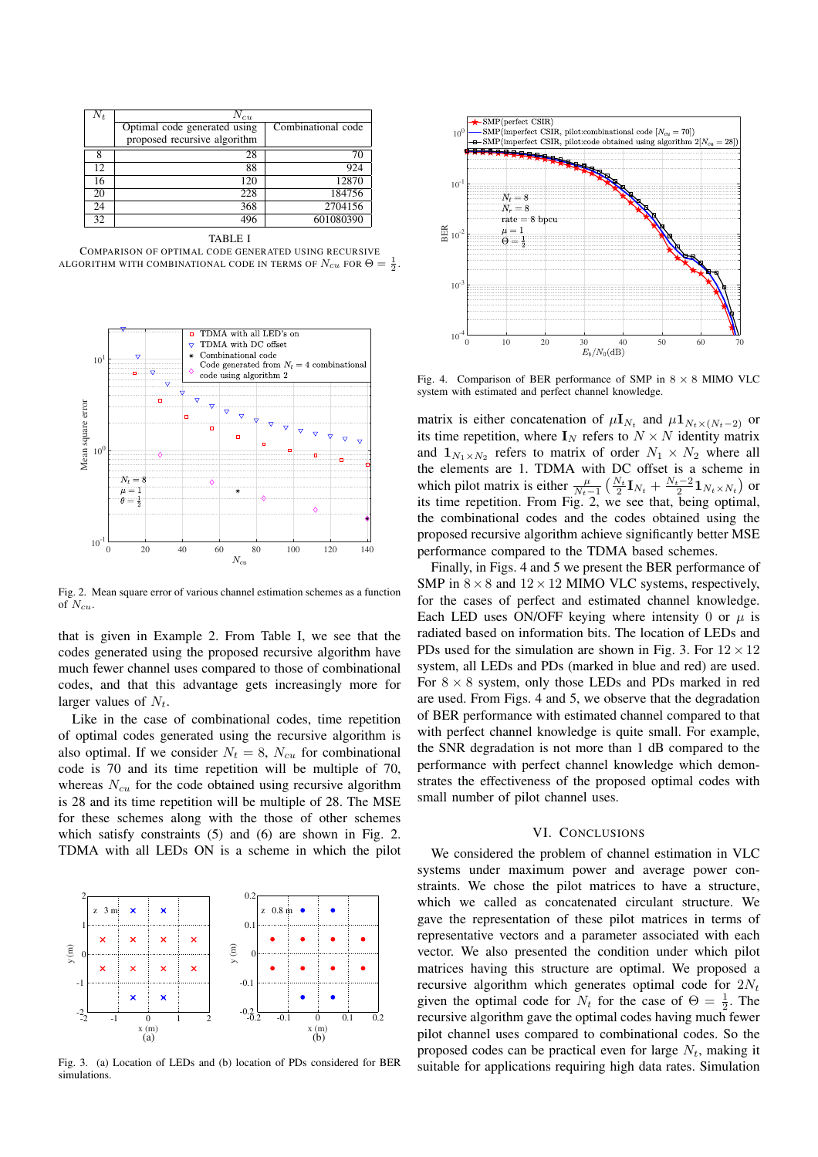| $N_t$ | $N_{cu}$                     |                    |
|-------|------------------------------|--------------------|
|       | Optimal code generated using | Combinational code |
|       | proposed recursive algorithm |                    |
|       | 28                           |                    |
| 12    | 88                           | 924                |
| 16    | 120                          | 12870              |
| 20    | 228                          | 184756             |
| 24    | 368                          | 2704156            |
| 32    | 496                          | 601080390          |

TABLE I COMPARISON OF OPTIMAL CODE GENERATED USING RECURSIVE ALGORITHM WITH COMBINATIONAL CODE IN TERMS OF  $N_{cu}$  FOR  $\Theta = \frac{1}{2}$ .



Fig. 2. Mean square error of various channel estimation schemes as a function of  $N_{cu}$ .

that is given in Example 2. From Table I, we see that the codes generated using the proposed recursive algorithm have much fewer channel uses compared to those of combinational codes, and that this advantage gets increasingly more for larger values of  $N_t$ .

Like in the case of combinational codes, time repetition of optimal codes generated using the recursive algorithm is also optimal. If we consider  $N_t = 8$ ,  $N_{cu}$  for combinational code is 70 and its time repetition will be multiple of 70, whereas  $N_{cu}$  for the code obtained using recursive algorithm is 28 and its time repetition will be multiple of 28. The MSE for these schemes along with the those of other schemes which satisfy constraints (5) and (6) are shown in Fig. 2. TDMA with all LEDs ON is a scheme in which the pilot



Fig. 3. (a) Location of LEDs and (b) location of PDs considered for BER simulations.



Fig. 4. Comparison of BER performance of SMP in  $8 \times 8$  MIMO VLC system with estimated and perfect channel knowledge.

matrix is either concatenation of  $\mu I_{N_t}$  and  $\mu I_{N_t \times (N_t-2)}$  or its time repetition, where  $\mathbf{I}_N$  refers to  $N \times N$  identity matrix and  $\mathbf{1}_{N_1 \times N_2}$  refers to matrix of order  $N_1 \times N_2$  where all the elements are 1. TDMA with DC offset is a scheme in which pilot matrix is either  $\frac{\mu}{N_t-1} \left( \frac{N_t}{2} \mathbf{I}_{N_t} + \frac{N_t-2}{2} \mathbf{1}_{N_t \times N_t} \right)$  or its time repetition. From Fig. 2, we see that, being optimal, the combinational codes and the codes obtained using the proposed recursive algorithm achieve significantly better MSE performance compared to the TDMA based schemes.

Finally, in Figs. 4 and 5 we present the BER performance of SMP in  $8 \times 8$  and  $12 \times 12$  MIMO VLC systems, respectively, for the cases of perfect and estimated channel knowledge. Each LED uses ON/OFF keying where intensity 0 or  $\mu$  is radiated based on information bits. The location of LEDs and PDs used for the simulation are shown in Fig. 3. For  $12 \times 12$ system, all LEDs and PDs (marked in blue and red) are used. For  $8 \times 8$  system, only those LEDs and PDs marked in red are used. From Figs. 4 and 5, we observe that the degradation of BER performance with estimated channel compared to that with perfect channel knowledge is quite small. For example, the SNR degradation is not more than 1 dB compared to the performance with perfect channel knowledge which demonstrates the effectiveness of the proposed optimal codes with small number of pilot channel uses.

#### VI. CONCLUSIONS

We considered the problem of channel estimation in VLC systems under maximum power and average power constraints. We chose the pilot matrices to have a structure, which we called as concatenated circulant structure. We gave the representation of these pilot matrices in terms of representative vectors and a parameter associated with each vector. We also presented the condition under which pilot matrices having this structure are optimal. We proposed a recursive algorithm which generates optimal code for  $2N_t$ given the optimal code for  $N_t$  for the case of  $\Theta = \frac{1}{2}$ . The recursive algorithm gave the optimal codes having much fewer pilot channel uses compared to combinational codes. So the proposed codes can be practical even for large  $N_t$ , making it suitable for applications requiring high data rates. Simulation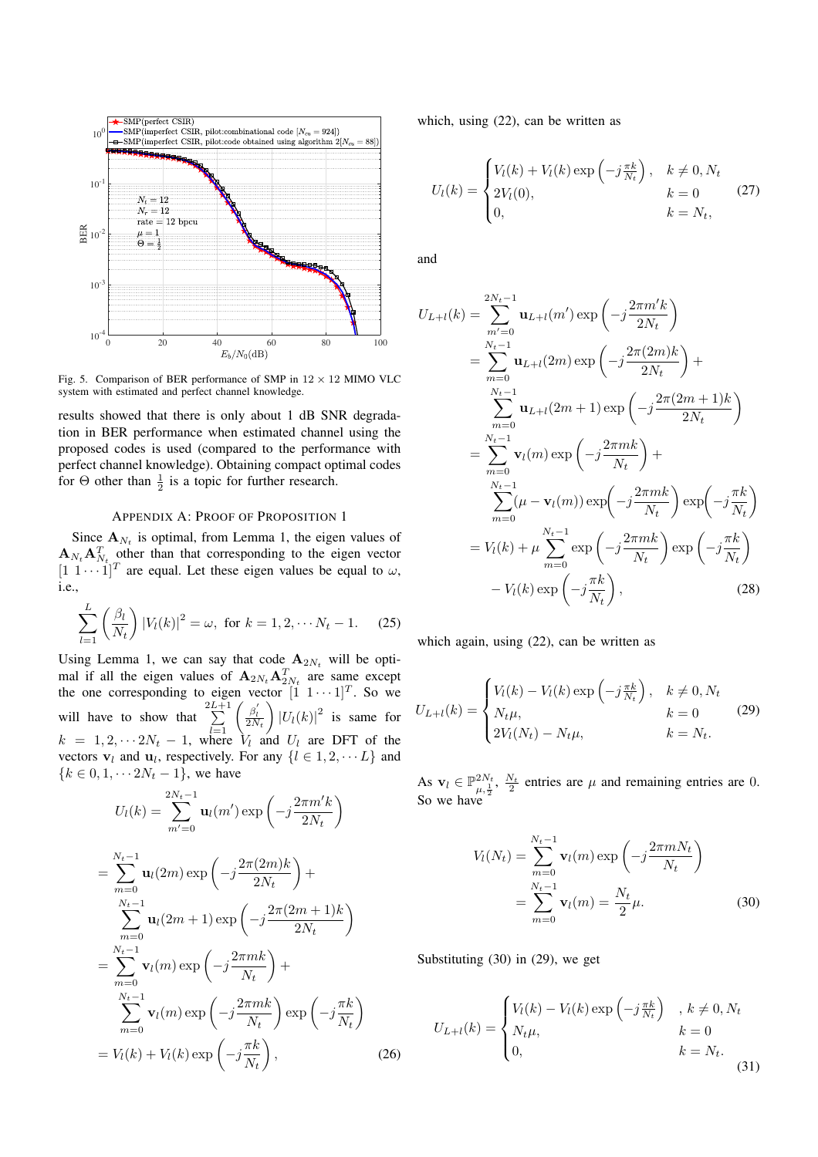

Fig. 5. Comparison of BER performance of SMP in  $12 \times 12$  MIMO VLC system with estimated and perfect channel knowledge.

results showed that there is only about 1 dB SNR degradation in BER performance when estimated channel using the proposed codes is used (compared to the performance with perfect channel knowledge). Obtaining compact optimal codes for  $\Theta$  other than  $\frac{1}{2}$  is a topic for further research.

## APPENDIX A: PROOF OF PROPOSITION 1

Since  $A_{N_t}$  is optimal, from Lemma 1, the eigen values of  $\mathbf{A}_{N_t} \mathbf{A}_{N_t}^T$  other than that corresponding to the eigen vector  $[1 \ 1 \cdots 1]^T$  are equal. Let these eigen values be equal to  $\omega$ , i.e.,

$$
\sum_{l=1}^{L} \left( \frac{\beta_l}{N_t} \right) |V_l(k)|^2 = \omega, \text{ for } k = 1, 2, \cdots N_t - 1.
$$
 (25)

Using Lemma 1, we can say that code  $A_{2N_t}$  will be optimal if all the eigen values of  $\mathbf{A}_{2N_t} \mathbf{A}_{2N_t}^T$  are same except the one corresponding to eigen vector  $[1 \ 1 \cdots 1]^T$ . So we will have to show that  $\sum_{l=1}^{2L+1} \left( \frac{\beta'_l}{2N_t} \right)$  $\setminus$  $|U_l(k)|^2$  is same for  $k = 1, 2, \cdots 2N_t - 1$ , where  $V_l$  and  $U_l$  are DFT of the vectors  $v_l$  and  $u_l$ , respectively. For any  $\{l \in 1, 2, \dots L\}$  and  ${k \in {0, 1, \dots 2N_t - 1}}$ , we have

$$
U_{l}(k) = \sum_{m'=0}^{2N_{t}-1} \mathbf{u}_{l}(m') \exp\left(-j\frac{2\pi m'k}{2N_{t}}\right)
$$
  
\n
$$
= \sum_{m=0}^{N_{t}-1} \mathbf{u}_{l}(2m) \exp\left(-j\frac{2\pi (2m)k}{2N_{t}}\right) + \sum_{m=0}^{N_{t}-1} \mathbf{u}_{l}(2m+1) \exp\left(-j\frac{2\pi (2m+1)k}{2N_{t}}\right)
$$
  
\n
$$
= \sum_{m=0}^{N_{t}-1} \mathbf{v}_{l}(m) \exp\left(-j\frac{2\pi mk}{N_{t}}\right) + \sum_{m=0}^{N_{t}-1} \mathbf{v}_{l}(m) \exp\left(-j\frac{2\pi mk}{N_{t}}\right) \exp\left(-j\frac{\pi k}{N_{t}}\right)
$$
  
\n
$$
= V_{l}(k) + V_{l}(k) \exp\left(-j\frac{\pi k}{N_{t}}\right), \qquad (26)
$$

which, using  $(22)$ , can be written as

$$
U_l(k) = \begin{cases} V_l(k) + V_l(k) \exp\left(-j\frac{\pi k}{N_t}\right), & k \neq 0, N_t \\ 2V_l(0), & k = 0 \\ 0, & k = N_t, \end{cases}
$$
 (27)

and

$$
U_{L+l}(k) = \sum_{m'=0}^{2N_t-1} \mathbf{u}_{L+l}(m') \exp\left(-j\frac{2\pi m'k}{2N_t}\right)
$$
  
\n
$$
= \sum_{m=0}^{N_t-1} \mathbf{u}_{L+l}(2m) \exp\left(-j\frac{2\pi (2m)k}{2N_t}\right) +
$$
  
\n
$$
\sum_{m=0}^{N_t-1} \mathbf{u}_{L+l}(2m+1) \exp\left(-j\frac{2\pi (2m+1)k}{2N_t}\right)
$$
  
\n
$$
= \sum_{m=0}^{N_t-1} \mathbf{v}_l(m) \exp\left(-j\frac{2\pi mk}{N_t}\right) +
$$
  
\n
$$
\sum_{m=0}^{N_t-1} (\mu - \mathbf{v}_l(m)) \exp\left(-j\frac{2\pi mk}{N_t}\right) \exp\left(-j\frac{\pi k}{N_t}\right)
$$
  
\n
$$
= V_l(k) + \mu \sum_{m=0}^{N_t-1} \exp\left(-j\frac{2\pi mk}{N_t}\right) \exp\left(-j\frac{\pi k}{N_t}\right)
$$
  
\n
$$
-V_l(k) \exp\left(-j\frac{\pi k}{N_t}\right), \qquad (28)
$$

which again, using (22), can be written as

$$
U_{L+l}(k) = \begin{cases} V_l(k) - V_l(k) \exp\left(-j\frac{\pi k}{N_t}\right), & k \neq 0, N_t \\ N_t \mu, & k = 0 \\ 2V_l(N_t) - N_t \mu, & k = N_t. \end{cases}
$$
(29)

As  $\mathbf{v}_l \in \mathbb{P}_{\mu, \frac{1}{2}}^{2N_t}$ ,  $\frac{N_t}{2}$  entries are  $\mu$  and remaining entries are 0. So we have

$$
V_l(N_t) = \sum_{m=0}^{N_t - 1} \mathbf{v}_l(m) \exp\left(-j\frac{2\pi m N_t}{N_t}\right)
$$
  
= 
$$
\sum_{m=0}^{N_t - 1} \mathbf{v}_l(m) = \frac{N_t}{2}\mu.
$$
 (30)

Substituting (30) in (29), we get

$$
U_{L+l}(k) = \begin{cases} V_l(k) - V_l(k) \exp\left(-j\frac{\pi k}{N_t}\right) & k \neq 0, N_t \\ N_t \mu, & k = 0 \\ 0, & k = N_t. \end{cases} \tag{31}
$$